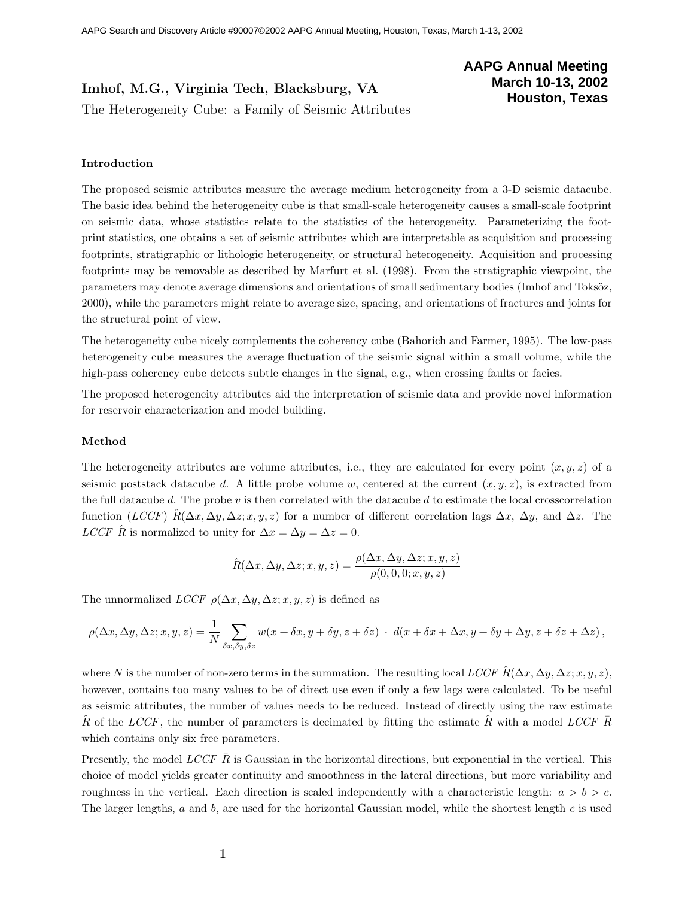# Imhof, M.G., Virginia Tech, Blacksburg, VA<br>The Heterogeneity Cube: a Family of Seismic Attributes  $\mathcal{L}_{\mathcal{G}}$ . a  $\mathcal{G}_{\mathcal{G}}$  cube: a  $\mathcal{G}_{\mathcal{G}}$  and  $\mathcal{G}_{\mathcal{G}}$

## **AAPG Annual Meeting March 10-13, 2002 Houston, Texas**

### **Introduction**

The proposed seismic attributes measure the average medium heterogeneity from a 3-D seismic datacube. The basic idea behind the heterogeneity cube is that small-scale heterogeneity causes a small-scale footprint on seismic data, whose statistics relate to the statistics of the heterogeneity. Parameterizing the footprint statistics, one obtains a set of seismic attributes which are interpretable as acquisition and processing footprints, stratigraphic or lithologic heterogeneity, or structural heterogeneity. Acquisition and processing footprints may be removable as described by Marfurt et al. (1998). From the stratigraphic viewpoint, the parameters may denote average dimensions and orientations of small sedimentary bodies (Imhof and Toksöz, 2000), while the parameters might relate to average size, spacing, and orientations of fractures and joints for the structural point of view.

The heterogeneity cube nicely complements the coherency cube (Bahorich and Farmer, 1995). The low-pass heterogeneity cube measures the average fluctuation of the seismic signal within a small volume, while the high-pass coherency cube detects subtle changes in the signal, e.g., when crossing faults or facies.

The proposed heterogeneity attributes aid the interpretation of seismic data and provide novel information for reservoir characterization and model building.

#### **Method**

The heterogeneity attributes are volume attributes, i.e., they are calculated for every point  $(x, y, z)$  of a seismic poststack datacube d. A little probe volume w, centered at the current  $(x, y, z)$ , is extracted from the full datacube d. The probe  $v$  is then correlated with the datacube d to estimate the local crosscorrelation function (*LCCF*)  $\hat{R}(\Delta x, \Delta y, \Delta z; x, y, z)$  for a number of different correlation lags  $\Delta x$ ,  $\Delta y$ , and  $\Delta z$ . The *LCCF*  $\hat{R}$  is normalized to unity for  $\Delta x = \Delta y = \Delta z = 0$ .

$$
\hat{R}(\Delta x, \Delta y, \Delta z; x, y, z) = \frac{\rho(\Delta x, \Delta y, \Delta z; x, y, z)}{\rho(0, 0, 0; x, y, z)}
$$

The unnormalized *LCCF*  $\rho(\Delta x, \Delta y, \Delta z; x, y, z)$  is defined as

$$
\rho(\Delta x, \Delta y, \Delta z; x, y, z) = \frac{1}{N} \sum_{\delta x, \delta y, \delta z} w(x + \delta x, y + \delta y, z + \delta z) \cdot d(x + \delta x + \Delta x, y + \delta y + \Delta y, z + \delta z + \Delta z),
$$

where N is the number of non-zero terms in the summation. The resulting local *LCCF*  $\hat{R}(\Delta x, \Delta y, \Delta z; x, y, z)$ , however, contains too many values to be of direct use even if only a few lags were calculated. To be useful as seismic attributes, the number of values needs to be reduced. Instead of directly using the raw estimate R of the *LCCF*, the number of parameters is decimated by fitting the estimate R with a model *LCCF* R which contains only six free parameters.

Presently, the model *LCCF*  $\bar{R}$  is Gaussian in the horizontal directions, but exponential in the vertical. This choice of model yields greater continuity and smoothness in the lateral directions, but more variability and roughness in the vertical. Each direction is scaled independently with a characteristic length:  $a > b > c$ . The larger lengths, a and b, are used for the horizontal Gaussian model, while the shortest length c is used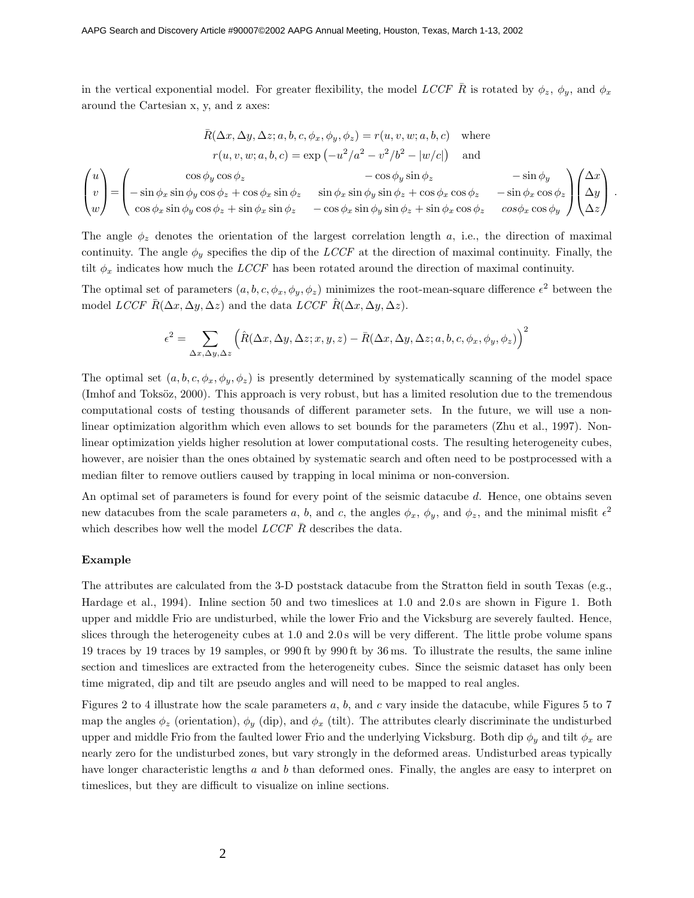in the vertical exponential model. For greater flexibility, the model *LCCF*  $\bar{R}$  is rotated by  $\phi_z$ ,  $\phi_y$ , and  $\phi_x$ around the Cartesian x, y, and z axes:

$$
\bar{R}(\Delta x, \Delta y, \Delta z; a, b, c, \phi_x, \phi_y, \phi_z) = r(u, v, w; a, b, c) \text{ where}
$$
\n
$$
r(u, v, w; a, b, c) = \exp(-u^2/a^2 - v^2/b^2 - |w/c|) \text{ and}
$$
\n
$$
\begin{pmatrix} u \\ v \\ w \end{pmatrix} = \begin{pmatrix} \cos \phi_y \cos \phi_z & -\cos \phi_y \sin \phi_z & -\sin \phi_y \\ -\sin \phi_x \sin \phi_y \cos \phi_z + \cos \phi_x \sin \phi_z & \sin \phi_x \sin \phi_y \sin \phi_z + \cos \phi_x \cos \phi_z & -\sin \phi_x \cos \phi_z \\ \cos \phi_x \sin \phi_y \cos \phi_z + \sin \phi_x \sin \phi_z & -\cos \phi_x \sin \phi_y \sin \phi_z + \sin \phi_x \cos \phi_z & \cos \phi_x \cos \phi_y \end{pmatrix} \begin{pmatrix} \Delta x \\ \Delta y \\ \Delta z \end{pmatrix}.
$$

The angle  $\phi_z$  denotes the orientation of the largest correlation length a, i.e., the direction of maximal continuity. The angle  $\phi_y$  specifies the dip of the *LCCF* at the direction of maximal continuity. Finally, the tilt  $\phi_x$  indicates how much the *LCCF* has been rotated around the direction of maximal continuity.

The optimal set of parameters  $(a, b, c, \phi_x, \phi_y, \phi_z)$  minimizes the root-mean-square difference  $\epsilon^2$  between the model *LCCF*  $\bar{R}(\Delta x, \Delta y, \Delta z)$  and the data *LCCF*  $\hat{R}(\Delta x, \Delta y, \Delta z)$ .

$$
\epsilon^2 = \sum_{\Delta x, \Delta y, \Delta z} \left( \hat{R}(\Delta x, \Delta y, \Delta z; x, y, z) - \bar{R}(\Delta x, \Delta y, \Delta z; a, b, c, \phi_x, \phi_y, \phi_z) \right)^2
$$

The optimal set  $(a, b, c, \phi_x, \phi_y, \phi_z)$  is presently determined by systematically scanning of the model space (Imhof and Toksöz, 2000). This approach is very robust, but has a limited resolution due to the tremendous computational costs of testing thousands of different parameter sets. In the future, we will use a nonlinear optimization algorithm which even allows to set bounds for the parameters (Zhu et al., 1997). Nonlinear optimization yields higher resolution at lower computational costs. The resulting heterogeneity cubes, however, are noisier than the ones obtained by systematic search and often need to be postprocessed with a median filter to remove outliers caused by trapping in local minima or non-conversion.

An optimal set of parameters is found for every point of the seismic datacube d. Hence, one obtains seven new datacubes from the scale parameters a, b, and c, the angles  $\phi_x$ ,  $\phi_y$ , and  $\phi_z$ , and the minimal misfit  $\epsilon^2$ which describes how well the model *LCCF*  $\bar{R}$  describes the data.

#### **Example**

The attributes are calculated from the 3-D poststack datacube from the Stratton field in south Texas (e.g., Hardage et al., 1994). Inline section 50 and two timeslices at 1.0 and 2.0s are shown in Figure 1. Both upper and middle Frio are undisturbed, while the lower Frio and the Vicksburg are severely faulted. Hence, slices through the heterogeneity cubes at 1.0 and 2.0 s will be very different. The little probe volume spans 19 traces by 19 traces by 19 samples, or 990 ft by 990 ft by 36 ms. To illustrate the results, the same inline section and timeslices are extracted from the heterogeneity cubes. Since the seismic dataset has only been time migrated, dip and tilt are pseudo angles and will need to be mapped to real angles.

Figures 2 to 4 illustrate how the scale parameters  $a, b$ , and  $c$  vary inside the datacube, while Figures 5 to 7 map the angles  $\phi_z$  (orientation),  $\phi_y$  (dip), and  $\phi_x$  (tilt). The attributes clearly discriminate the undisturbed upper and middle Frio from the faulted lower Frio and the underlying Vicksburg. Both dip  $\phi_y$  and tilt  $\phi_x$  are nearly zero for the undisturbed zones, but vary strongly in the deformed areas. Undisturbed areas typically have longer characteristic lengths a and b than deformed ones. Finally, the angles are easy to interpret on timeslices, but they are difficult to visualize on inline sections.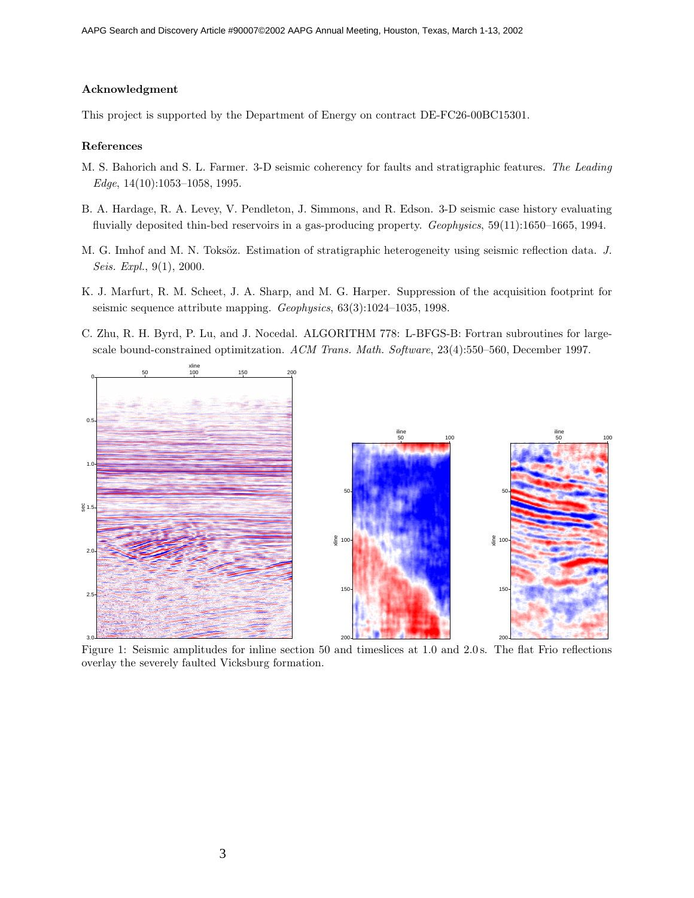### **Acknowledgment**

This project is supported by the Department of Energy on contract DE-FC26-00BC15301.

#### **References**

- M. S. Bahorich and S. L. Farmer. 3-D seismic coherency for faults and stratigraphic features. *The Leading Edge*, 14(10):1053–1058, 1995.
- B. A. Hardage, R. A. Levey, V. Pendleton, J. Simmons, and R. Edson. 3-D seismic case history evaluating fluvially deposited thin-bed reservoirs in a gas-producing property. *Geophysics*, 59(11):1650–1665, 1994.
- M. G. Imhof and M. N. Toksöz. Estimation of stratigraphic heterogeneity using seismic reflection data. *J. Seis. Expl.*, 9(1), 2000.
- K. J. Marfurt, R. M. Scheet, J. A. Sharp, and M. G. Harper. Suppression of the acquisition footprint for seismic sequence attribute mapping. *Geophysics*, 63(3):1024–1035, 1998.
- C. Zhu, R. H. Byrd, P. Lu, and J. Nocedal. ALGORITHM778: L-BFGS-B: Fortran subroutines for largescale bound-constrained optimitzation. *ACM Trans. Math. Software*, 23(4):550–560, December 1997.



Figure 1: Seismic amplitudes for inline section 50 and timeslices at 1.0 and 2.0 s. The flat Frio reflections overlay the severely faulted Vicksburg formation.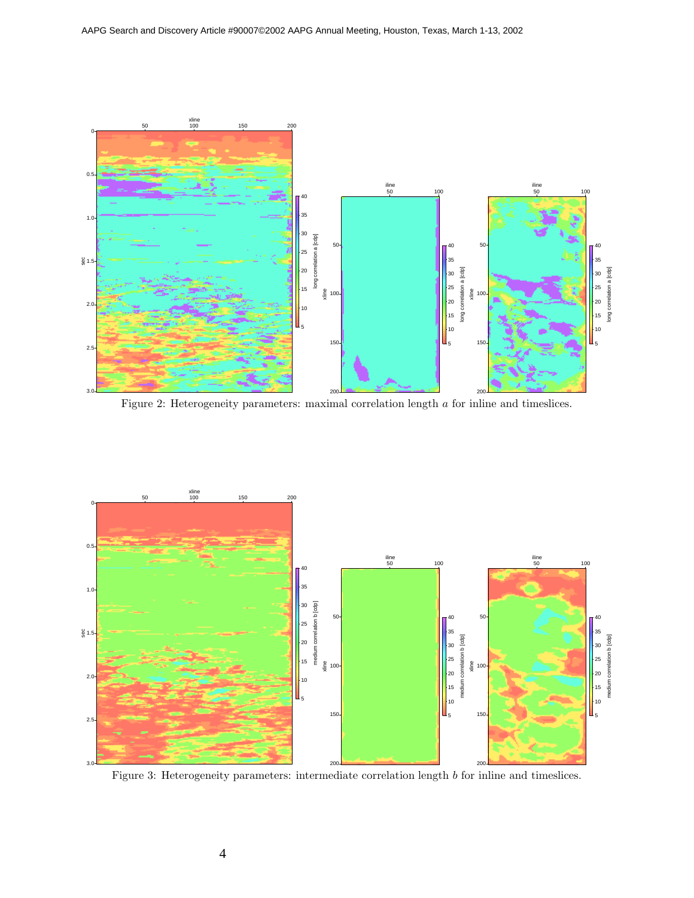

Figure 2: Heterogeneity parameters: maximal correlation length a for inline and timeslices.



Figure 3: Heterogeneity parameters: intermediate correlation length b for inline and timeslices.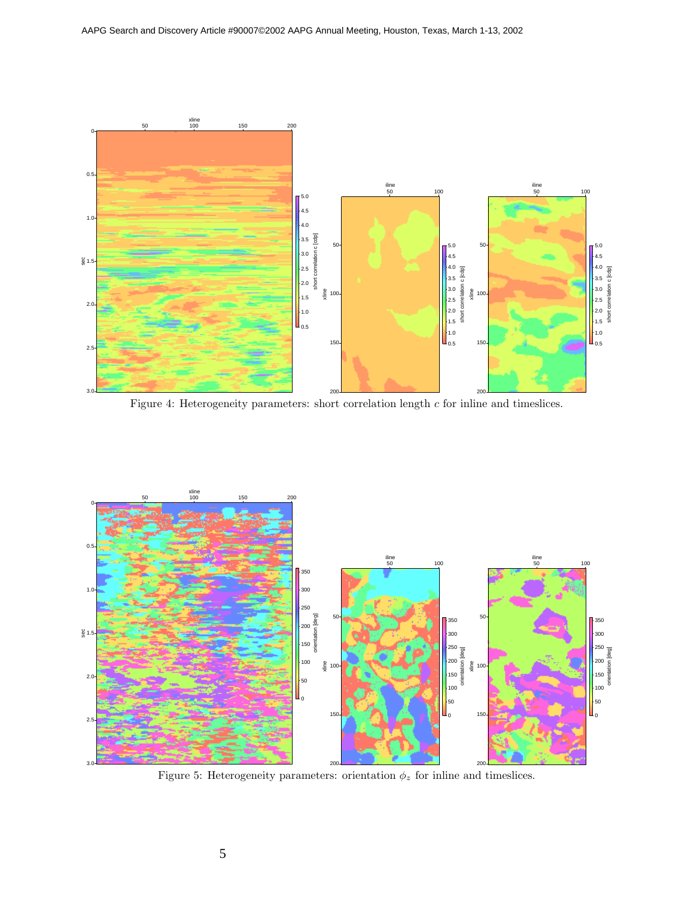

Figure 4: Heterogeneity parameters: short correlation length  $c$  for inline and timeslices.



Figure 5: Heterogeneity parameters: orientation  $\phi_z$  for inline and timeslices.